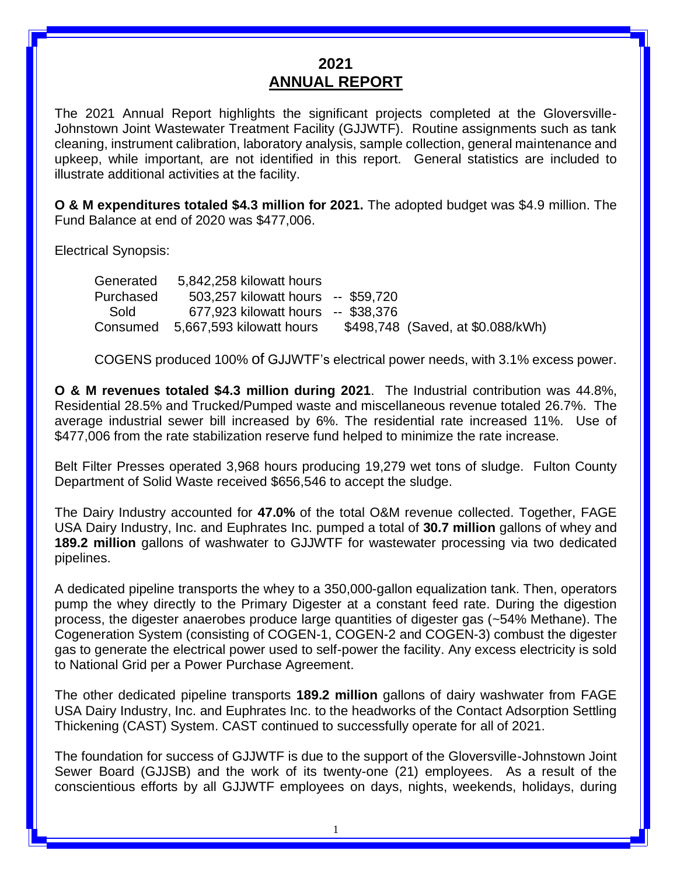#### **2021 ANNUAL REPORT**

The 2021 Annual Report highlights the significant projects completed at the Gloversville-Johnstown Joint Wastewater Treatment Facility (GJJWTF). Routine assignments such as tank cleaning, instrument calibration, laboratory analysis, sample collection, general maintenance and upkeep, while important, are not identified in this report. General statistics are included to illustrate additional activities at the facility.

**O & M expenditures totaled \$4.3 million for 2021.** The adopted budget was \$4.9 million. The Fund Balance at end of 2020 was \$477,006.

Electrical Synopsis:

| Generated | 5,842,258 kilowatt hours           |                                   |
|-----------|------------------------------------|-----------------------------------|
| Purchased | 503,257 kilowatt hours -- \$59,720 |                                   |
| Sold      | 677,923 kilowatt hours -- \$38,376 |                                   |
| Consumed  | 5,667,593 kilowatt hours           | \$498,748 (Saved, at \$0.088/kWh) |

COGENS produced 100% of GJJWTF's electrical power needs, with 3.1% excess power.

**O & M revenues totaled \$4.3 million during 2021**. The Industrial contribution was 44.8%, Residential 28.5% and Trucked/Pumped waste and miscellaneous revenue totaled 26.7%. The average industrial sewer bill increased by 6%. The residential rate increased 11%. Use of \$477,006 from the rate stabilization reserve fund helped to minimize the rate increase.

Belt Filter Presses operated 3,968 hours producing 19,279 wet tons of sludge. Fulton County Department of Solid Waste received \$656,546 to accept the sludge.

The Dairy Industry accounted for **47.0%** of the total O&M revenue collected. Together, FAGE USA Dairy Industry, Inc. and Euphrates Inc. pumped a total of **30.7 million** gallons of whey and **189.2 million** gallons of washwater to GJJWTF for wastewater processing via two dedicated pipelines.

A dedicated pipeline transports the whey to a 350,000-gallon equalization tank. Then, operators pump the whey directly to the Primary Digester at a constant feed rate. During the digestion process, the digester anaerobes produce large quantities of digester gas (~54% Methane). The Cogeneration System (consisting of COGEN-1, COGEN-2 and COGEN-3) combust the digester gas to generate the electrical power used to self-power the facility. Any excess electricity is sold to National Grid per a Power Purchase Agreement.

The other dedicated pipeline transports **189.2 million** gallons of dairy washwater from FAGE USA Dairy Industry, Inc. and Euphrates Inc. to the headworks of the Contact Adsorption Settling Thickening (CAST) System. CAST continued to successfully operate for all of 2021.

The foundation for success of GJJWTF is due to the support of the Gloversville-Johnstown Joint Sewer Board (GJJSB) and the work of its twenty-one (21) employees. As a result of the conscientious efforts by all GJJWTF employees on days, nights, weekends, holidays, during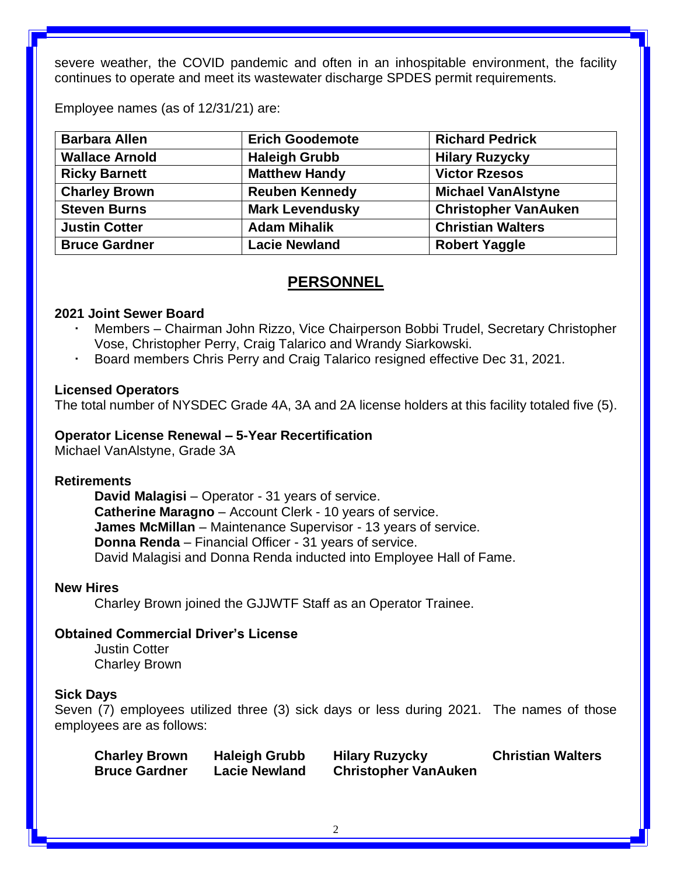severe weather, the COVID pandemic and often in an inhospitable environment, the facility continues to operate and meet its wastewater discharge SPDES permit requirements.

Employee names (as of 12/31/21) are:

| <b>Barbara Allen</b>  | <b>Erich Goodemote</b>                        |                             |
|-----------------------|-----------------------------------------------|-----------------------------|
| <b>Wallace Arnold</b> | <b>Haleigh Grubb</b><br><b>Hilary Ruzycky</b> |                             |
| <b>Ricky Barnett</b>  | <b>Matthew Handy</b>                          | <b>Victor Rzesos</b>        |
| <b>Charley Brown</b>  | <b>Reuben Kennedy</b>                         | <b>Michael VanAlstyne</b>   |
| <b>Steven Burns</b>   | <b>Mark Levendusky</b>                        | <b>Christopher VanAuken</b> |
| <b>Justin Cotter</b>  | <b>Adam Mihalik</b>                           | <b>Christian Walters</b>    |
| <b>Bruce Gardner</b>  | <b>Lacie Newland</b>                          | <b>Robert Yaggle</b>        |

#### **PERSONNEL**

#### **2021 Joint Sewer Board**

- Members Chairman John Rizzo, Vice Chairperson Bobbi Trudel, Secretary Christopher Vose, Christopher Perry, Craig Talarico and Wrandy Siarkowski.
- Board members Chris Perry and Craig Talarico resigned effective Dec 31, 2021.

#### **Licensed Operators**

The total number of NYSDEC Grade 4A, 3A and 2A license holders at this facility totaled five (5).

#### **Operator License Renewal – 5-Year Recertification**

Michael VanAlstyne, Grade 3A

#### **Retirements**

**David Malagisi** – Operator - 31 years of service. **Catherine Maragno** – Account Clerk - 10 years of service. **James McMillan** – Maintenance Supervisor - 13 years of service. **Donna Renda** – Financial Officer - 31 years of service. David Malagisi and Donna Renda inducted into Employee Hall of Fame.

#### **New Hires**

Charley Brown joined the GJJWTF Staff as an Operator Trainee.

#### **Obtained Commercial Driver's License**

Justin Cotter Charley Brown

#### **Sick Days**

Seven (7) employees utilized three (3) sick days or less during 2021. The names of those employees are as follows:

| <b>Charley Brown</b> | <b>Haleigh Grubb</b> | <b>Hilary Ruzycky</b>       | <b>Christian Walters</b> |
|----------------------|----------------------|-----------------------------|--------------------------|
| <b>Bruce Gardner</b> | <b>Lacie Newland</b> | <b>Christopher VanAuken</b> |                          |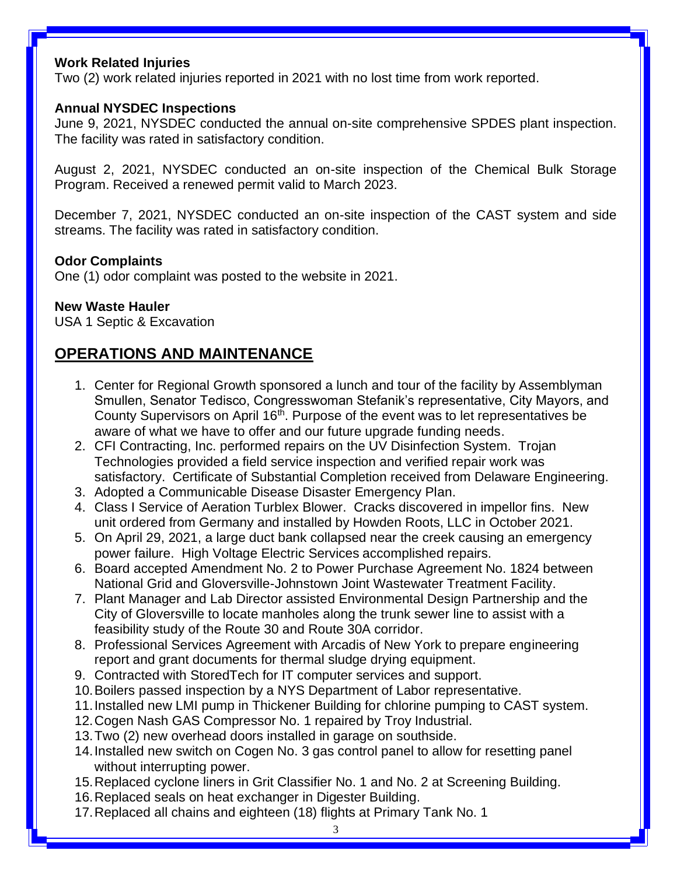#### **Work Related Injuries**

Two (2) work related injuries reported in 2021 with no lost time from work reported.

#### **Annual NYSDEC Inspections**

June 9, 2021, NYSDEC conducted the annual on-site comprehensive SPDES plant inspection. The facility was rated in satisfactory condition.

August 2, 2021, NYSDEC conducted an on-site inspection of the Chemical Bulk Storage Program. Received a renewed permit valid to March 2023.

December 7, 2021, NYSDEC conducted an on-site inspection of the CAST system and side streams. The facility was rated in satisfactory condition.

#### **Odor Complaints**

One (1) odor complaint was posted to the website in 2021.

#### **New Waste Hauler**

USA 1 Septic & Excavation

## **OPERATIONS AND MAINTENANCE**

- 1. Center for Regional Growth sponsored a lunch and tour of the facility by Assemblyman Smullen, Senator Tedisco, Congresswoman Stefanik's representative, City Mayors, and County Supervisors on April 16<sup>th</sup>. Purpose of the event was to let representatives be aware of what we have to offer and our future upgrade funding needs.
- 2. CFI Contracting, Inc. performed repairs on the UV Disinfection System. Trojan Technologies provided a field service inspection and verified repair work was satisfactory. Certificate of Substantial Completion received from Delaware Engineering.
- 3. Adopted a Communicable Disease Disaster Emergency Plan.
- 4. Class I Service of Aeration Turblex Blower. Cracks discovered in impellor fins. New unit ordered from Germany and installed by Howden Roots, LLC in October 2021.
- 5. On April 29, 2021, a large duct bank collapsed near the creek causing an emergency power failure. High Voltage Electric Services accomplished repairs.
- 6. Board accepted Amendment No. 2 to Power Purchase Agreement No. 1824 between National Grid and Gloversville-Johnstown Joint Wastewater Treatment Facility.
- 7. Plant Manager and Lab Director assisted Environmental Design Partnership and the City of Gloversville to locate manholes along the trunk sewer line to assist with a feasibility study of the Route 30 and Route 30A corridor.
- 8. Professional Services Agreement with Arcadis of New York to prepare engineering report and grant documents for thermal sludge drying equipment.
- 9. Contracted with StoredTech for IT computer services and support.
- 10.Boilers passed inspection by a NYS Department of Labor representative.
- 11.Installed new LMI pump in Thickener Building for chlorine pumping to CAST system.
- 12.Cogen Nash GAS Compressor No. 1 repaired by Troy Industrial.
- 13.Two (2) new overhead doors installed in garage on southside.
- 14.Installed new switch on Cogen No. 3 gas control panel to allow for resetting panel without interrupting power.
- 15.Replaced cyclone liners in Grit Classifier No. 1 and No. 2 at Screening Building.
- 16.Replaced seals on heat exchanger in Digester Building.
- 17.Replaced all chains and eighteen (18) flights at Primary Tank No. 1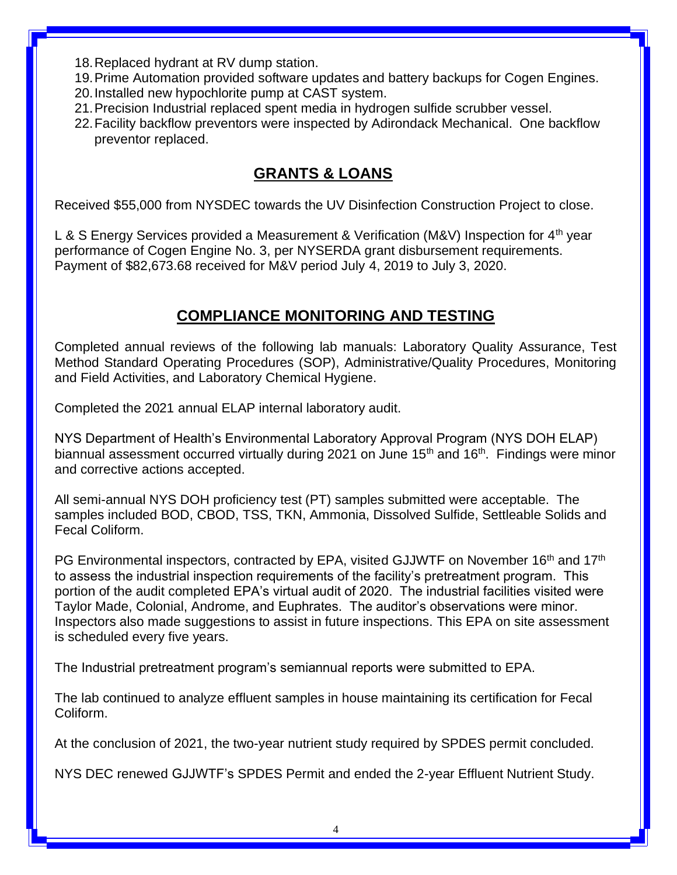- 18.Replaced hydrant at RV dump station.
- 19.Prime Automation provided software updates and battery backups for Cogen Engines.
- 20.Installed new hypochlorite pump at CAST system.
- 21.Precision Industrial replaced spent media in hydrogen sulfide scrubber vessel.
- 22.Facility backflow preventors were inspected by Adirondack Mechanical. One backflow preventor replaced.

## **GRANTS & LOANS**

Received \$55,000 from NYSDEC towards the UV Disinfection Construction Project to close.

L & S Energy Services provided a Measurement & Verification (M&V) Inspection for  $4<sup>th</sup>$  year performance of Cogen Engine No. 3, per NYSERDA grant disbursement requirements. Payment of \$82,673.68 received for M&V period July 4, 2019 to July 3, 2020.

## **COMPLIANCE MONITORING AND TESTING**

Completed annual reviews of the following lab manuals: Laboratory Quality Assurance, Test Method Standard Operating Procedures (SOP), Administrative/Quality Procedures, Monitoring and Field Activities, and Laboratory Chemical Hygiene.

Completed the 2021 annual ELAP internal laboratory audit.

NYS Department of Health's Environmental Laboratory Approval Program (NYS DOH ELAP) biannual assessment occurred virtually during 2021 on June  $15<sup>th</sup>$  and  $16<sup>th</sup>$ . Findings were minor and corrective actions accepted.

All semi-annual NYS DOH proficiency test (PT) samples submitted were acceptable. The samples included BOD, CBOD, TSS, TKN, Ammonia, Dissolved Sulfide, Settleable Solids and Fecal Coliform.

PG Environmental inspectors, contracted by EPA, visited GJJWTF on November 16<sup>th</sup> and 17<sup>th</sup> to assess the industrial inspection requirements of the facility's pretreatment program. This portion of the audit completed EPA's virtual audit of 2020. The industrial facilities visited were Taylor Made, Colonial, Androme, and Euphrates. The auditor's observations were minor. Inspectors also made suggestions to assist in future inspections. This EPA on site assessment is scheduled every five years.

The Industrial pretreatment program's semiannual reports were submitted to EPA.

The lab continued to analyze effluent samples in house maintaining its certification for Fecal Coliform.

At the conclusion of 2021, the two-year nutrient study required by SPDES permit concluded.

NYS DEC renewed GJJWTF's SPDES Permit and ended the 2-year Effluent Nutrient Study.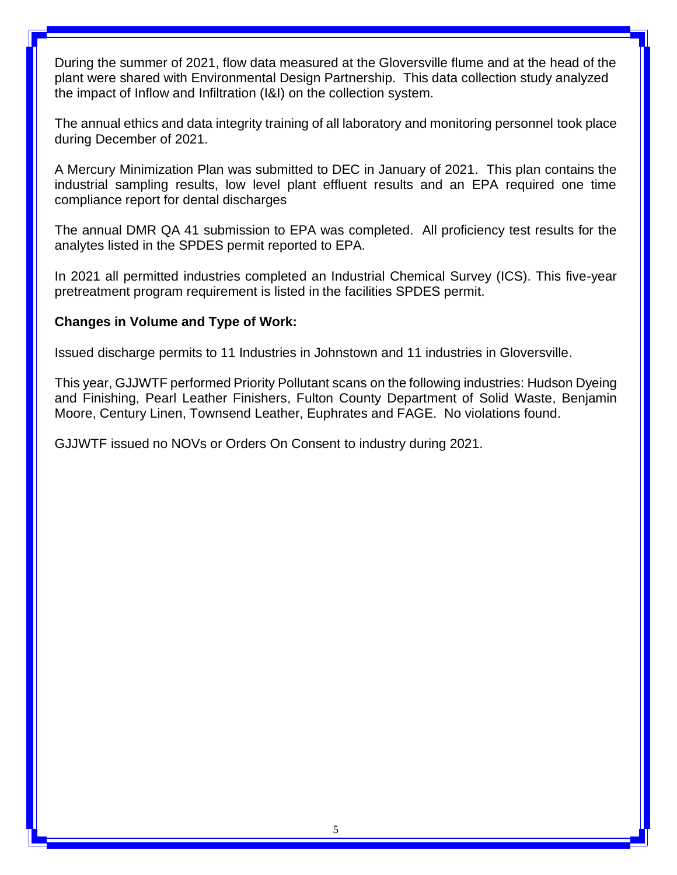During the summer of 2021, flow data measured at the Gloversville flume and at the head of the plant were shared with Environmental Design Partnership. This data collection study analyzed the impact of Inflow and Infiltration (I&I) on the collection system.

The annual ethics and data integrity training of all laboratory and monitoring personnel took place during December of 2021.

A Mercury Minimization Plan was submitted to DEC in January of 2021. This plan contains the industrial sampling results, low level plant effluent results and an EPA required one time compliance report for dental discharges

The annual DMR QA 41 submission to EPA was completed. All proficiency test results for the analytes listed in the SPDES permit reported to EPA.

In 2021 all permitted industries completed an Industrial Chemical Survey (ICS). This five-year pretreatment program requirement is listed in the facilities SPDES permit.

#### **Changes in Volume and Type of Work:**

Issued discharge permits to 11 Industries in Johnstown and 11 industries in Gloversville.

This year, GJJWTF performed Priority Pollutant scans on the following industries: Hudson Dyeing and Finishing, Pearl Leather Finishers, Fulton County Department of Solid Waste, Benjamin Moore, Century Linen, Townsend Leather, Euphrates and FAGE. No violations found.

GJJWTF issued no NOVs or Orders On Consent to industry during 2021.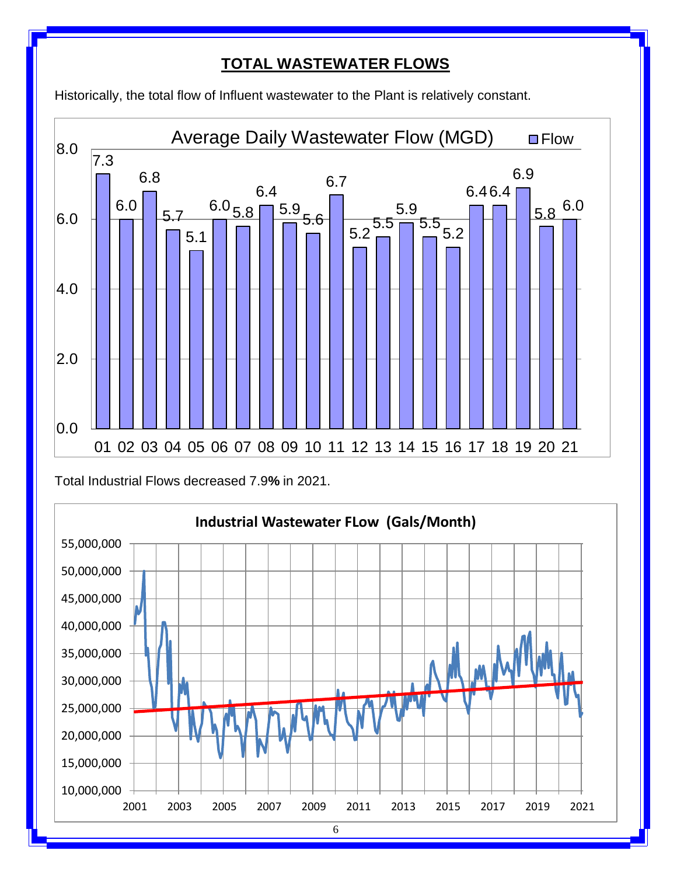## **TOTAL WASTEWATER FLOWS**

Historically, the total flow of Influent wastewater to the Plant is relatively constant.



Total Industrial Flows decreased 7.9**%** in 2021.

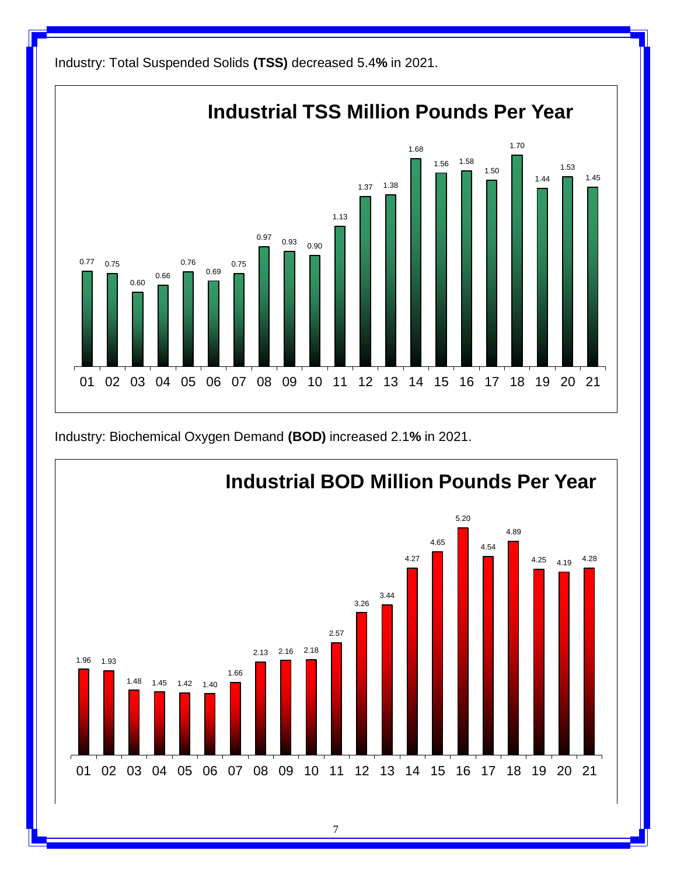

Industry: Biochemical Oxygen Demand **(BOD)** increased 2.1**%** in 2021.



7

Industry: Total Suspended Solids **(TSS)** decreased 5.4**%** in 2021.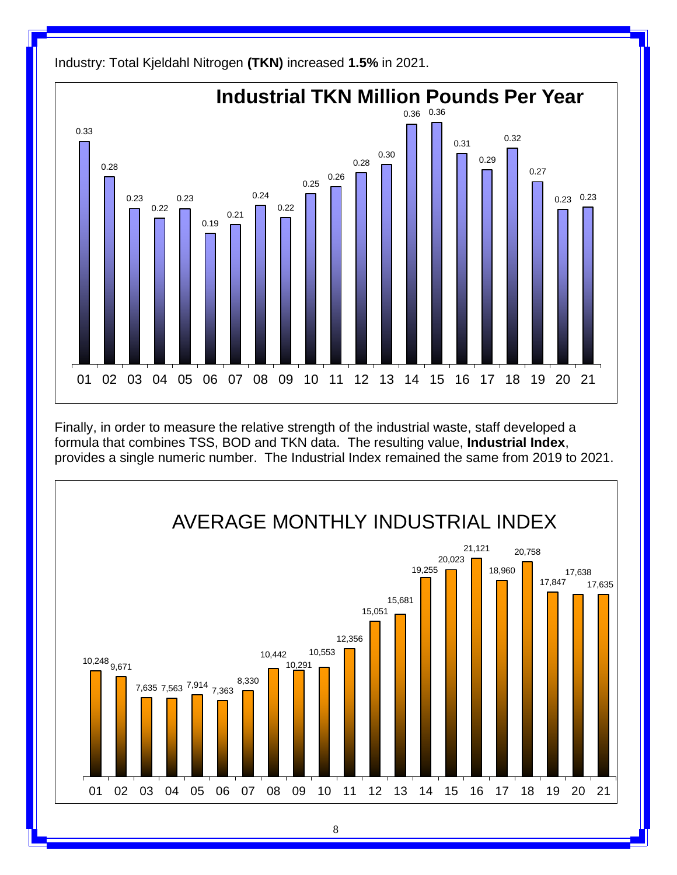

Industry: Total Kjeldahl Nitrogen **(TKN)** increased **1.5%** in 2021.

Finally, in order to measure the relative strength of the industrial waste, staff developed a formula that combines TSS, BOD and TKN data. The resulting value, **Industrial Index**, provides a single numeric number. The Industrial Index remained the same from 2019 to 2021.



8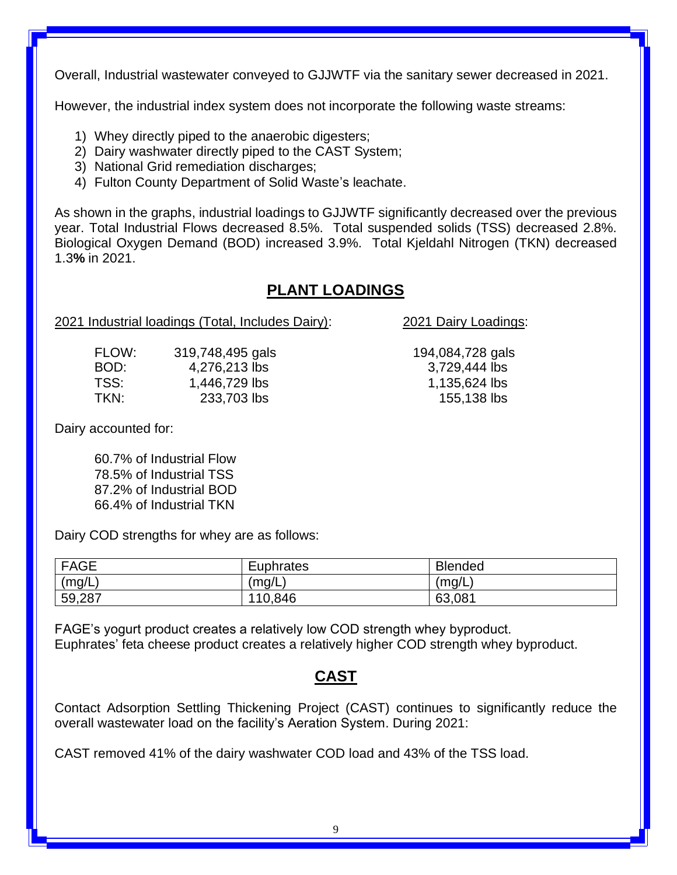Overall, Industrial wastewater conveyed to GJJWTF via the sanitary sewer decreased in 2021.

However, the industrial index system does not incorporate the following waste streams:

- 1) Whey directly piped to the anaerobic digesters;
- 2) Dairy washwater directly piped to the CAST System;
- 3) National Grid remediation discharges;
- 4) Fulton County Department of Solid Waste's leachate.

As shown in the graphs, industrial loadings to GJJWTF significantly decreased over the previous year. Total Industrial Flows decreased 8.5%. Total suspended solids (TSS) decreased 2.8%. Biological Oxygen Demand (BOD) increased 3.9%. Total Kjeldahl Nitrogen (TKN) decreased 1.3**%** in 2021.

## **PLANT LOADINGS**

#### 2021 Industrial loadings (Total, Includes Dairy): 2021 Dairy Loadings:

| FLOW: | 319,748,495 gals |
|-------|------------------|
| BOD:  | 4,276,213 lbs    |
| TSS:  | 1,446,729 lbs    |
| TKN:  | 233,703 lbs      |

Dairy accounted for:

60.7% of Industrial Flow 78.5% of Industrial TSS 87.2% of Industrial BOD 66.4% of Industrial TKN

Dairy COD strengths for whey are as follows:

| <b>FAGE</b> | Euphrates | <b>Blended</b> |
|-------------|-----------|----------------|
| (mg/L)      | (mq/L)    | (mg/L)         |
| 59,287      | 110,846   | 63,081         |

FAGE's yogurt product creates a relatively low COD strength whey byproduct. Euphrates' feta cheese product creates a relatively higher COD strength whey byproduct.

## **CAST**

Contact Adsorption Settling Thickening Project (CAST) continues to significantly reduce the overall wastewater load on the facility's Aeration System. During 2021:

CAST removed 41% of the dairy washwater COD load and 43% of the TSS load.

194,084,728 gals 3,729,444 lbs 1,135,624 lbs 155,138 lbs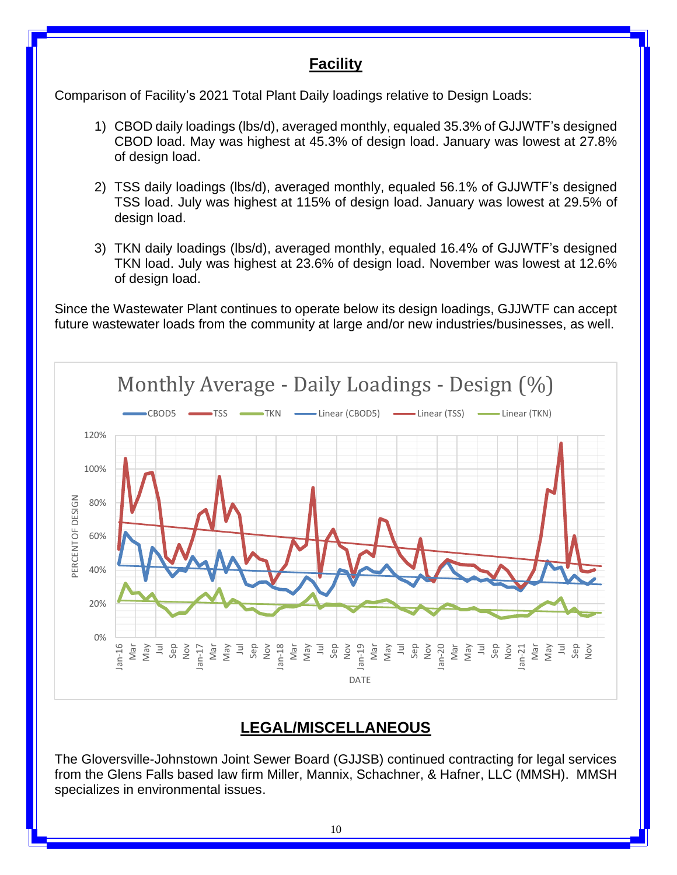## **Facility**

Comparison of Facility's 2021 Total Plant Daily loadings relative to Design Loads:

- 1) CBOD daily loadings (lbs/d), averaged monthly, equaled 35.3% of GJJWTF's designed CBOD load. May was highest at 45.3% of design load. January was lowest at 27.8% of design load.
- 2) TSS daily loadings (lbs/d), averaged monthly, equaled 56.1% of GJJWTF's designed TSS load. July was highest at 115% of design load. January was lowest at 29.5% of design load.
- 3) TKN daily loadings (lbs/d), averaged monthly, equaled 16.4% of GJJWTF's designed TKN load. July was highest at 23.6% of design load. November was lowest at 12.6% of design load.

Since the Wastewater Plant continues to operate below its design loadings, GJJWTF can accept future wastewater loads from the community at large and/or new industries/businesses, as well.



## **LEGAL/MISCELLANEOUS**

The Gloversville-Johnstown Joint Sewer Board (GJJSB) continued contracting for legal services from the Glens Falls based law firm Miller, Mannix, Schachner, & Hafner, LLC (MMSH). MMSH specializes in environmental issues.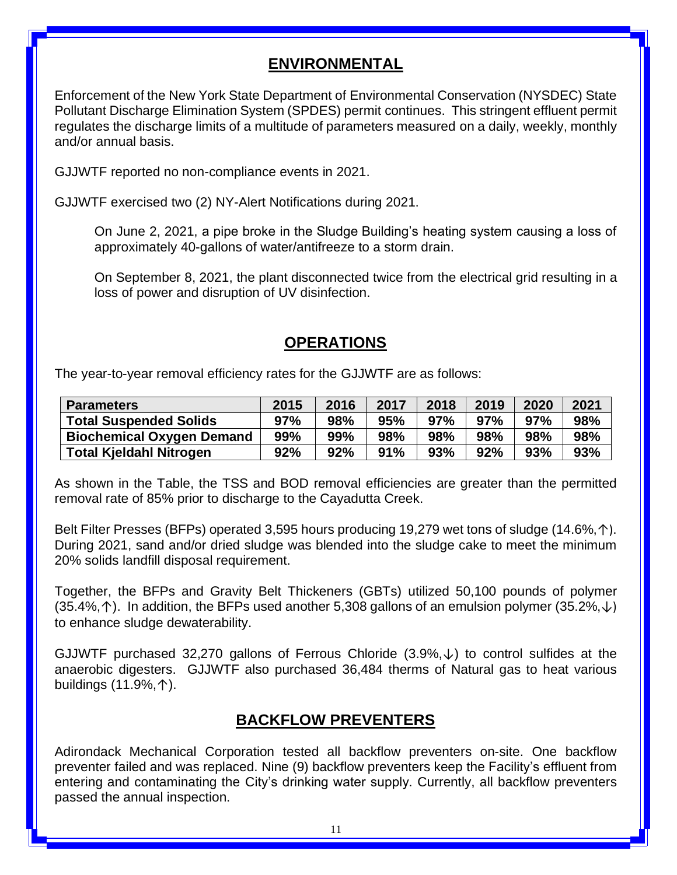## **ENVIRONMENTAL**

Enforcement of the New York State Department of Environmental Conservation (NYSDEC) State Pollutant Discharge Elimination System (SPDES) permit continues. This stringent effluent permit regulates the discharge limits of a multitude of parameters measured on a daily, weekly, monthly and/or annual basis.

GJJWTF reported no non-compliance events in 2021.

GJJWTF exercised two (2) NY-Alert Notifications during 2021.

On June 2, 2021, a pipe broke in the Sludge Building's heating system causing a loss of approximately 40-gallons of water/antifreeze to a storm drain.

On September 8, 2021, the plant disconnected twice from the electrical grid resulting in a loss of power and disruption of UV disinfection.

#### **OPERATIONS**

The year-to-year removal efficiency rates for the GJJWTF are as follows:

| <b>Parameters</b>                | 2015 | 2016 | 2017 | 2018 | 2019 | 2020 | 2021 |
|----------------------------------|------|------|------|------|------|------|------|
| <b>Total Suspended Solids</b>    | 97%  | 98%  | 95%  | 97%  | 97%  | 97%  | 98%  |
| <b>Biochemical Oxygen Demand</b> | 99%  | 99%  | 98%  | 98%  | 98%  | 98%  | 98%  |
| <b>Total Kjeldahl Nitrogen</b>   | 92%  | 92%  | 91%  | 93%  | 92%  | 93%  | 93%  |

As shown in the Table, the TSS and BOD removal efficiencies are greater than the permitted removal rate of 85% prior to discharge to the Cayadutta Creek.

Belt Filter Presses (BFPs) operated 3,595 hours producing 19,279 wet tons of sludge (14.6%,↑). During 2021, sand and/or dried sludge was blended into the sludge cake to meet the minimum 20% solids landfill disposal requirement.

Together, the BFPs and Gravity Belt Thickeners (GBTs) utilized 50,100 pounds of polymer  $(35.4\%, \uparrow)$ . In addition, the BFPs used another 5,308 gallons of an emulsion polymer  $(35.2\%, \downarrow)$ to enhance sludge dewaterability.

GJJWTF purchased 32,270 gallons of Ferrous Chloride  $(3.9\%,\downarrow)$  to control sulfides at the anaerobic digesters. GJJWTF also purchased 36,484 therms of Natural gas to heat various buildings (11.9%,↑).

#### **BACKFLOW PREVENTERS**

Adirondack Mechanical Corporation tested all backflow preventers on-site. One backflow preventer failed and was replaced. Nine (9) backflow preventers keep the Facility's effluent from entering and contaminating the City's drinking water supply. Currently, all backflow preventers passed the annual inspection.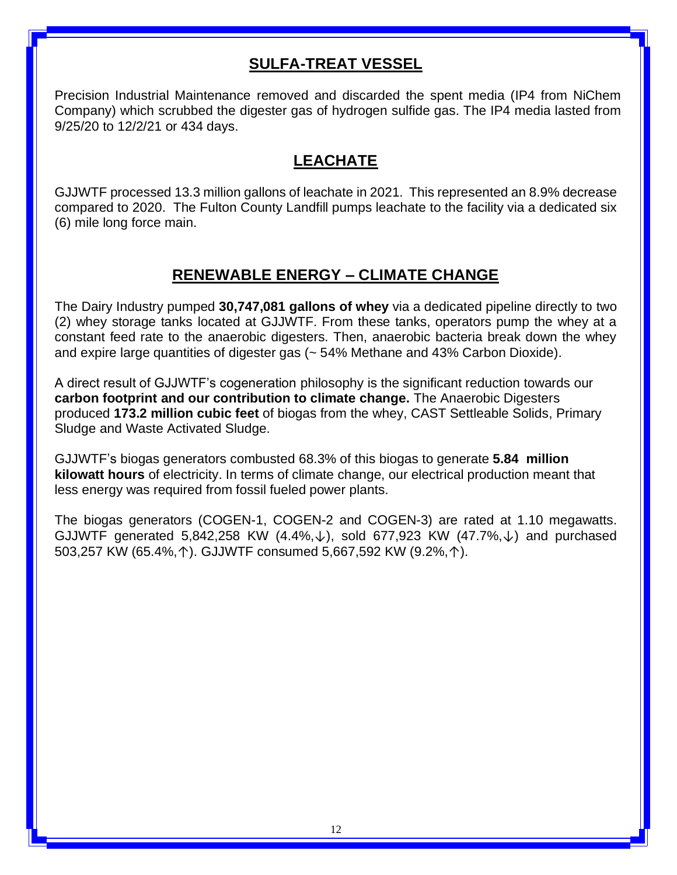## **SULFA-TREAT VESSEL**

Precision Industrial Maintenance removed and discarded the spent media (IP4 from NiChem Company) which scrubbed the digester gas of hydrogen sulfide gas. The IP4 media lasted from 9/25/20 to 12/2/21 or 434 days.

## **LEACHATE**

GJJWTF processed 13.3 million gallons of leachate in 2021. This represented an 8.9% decrease compared to 2020. The Fulton County Landfill pumps leachate to the facility via a dedicated six (6) mile long force main.

## **RENEWABLE ENERGY – CLIMATE CHANGE**

The Dairy Industry pumped **30,747,081 gallons of whey** via a dedicated pipeline directly to two (2) whey storage tanks located at GJJWTF. From these tanks, operators pump the whey at a constant feed rate to the anaerobic digesters. Then, anaerobic bacteria break down the whey and expire large quantities of digester gas (~ 54% Methane and 43% Carbon Dioxide).

A direct result of GJJWTF's cogeneration philosophy is the significant reduction towards our **carbon footprint and our contribution to climate change.** The Anaerobic Digesters produced **173.2 million cubic feet** of biogas from the whey, CAST Settleable Solids, Primary Sludge and Waste Activated Sludge.

GJJWTF's biogas generators combusted 68.3% of this biogas to generate **5.84 million kilowatt hours** of electricity. In terms of climate change, our electrical production meant that less energy was required from fossil fueled power plants.

The biogas generators (COGEN-1, COGEN-2 and COGEN-3) are rated at 1.10 megawatts. GJJWTF generated 5,842,258 KW  $(4.4\%, \downarrow)$ , sold 677,923 KW  $(47.7\%, \downarrow)$  and purchased 503,257 KW (65.4%,↑). GJJWTF consumed 5,667,592 KW (9.2%,↑).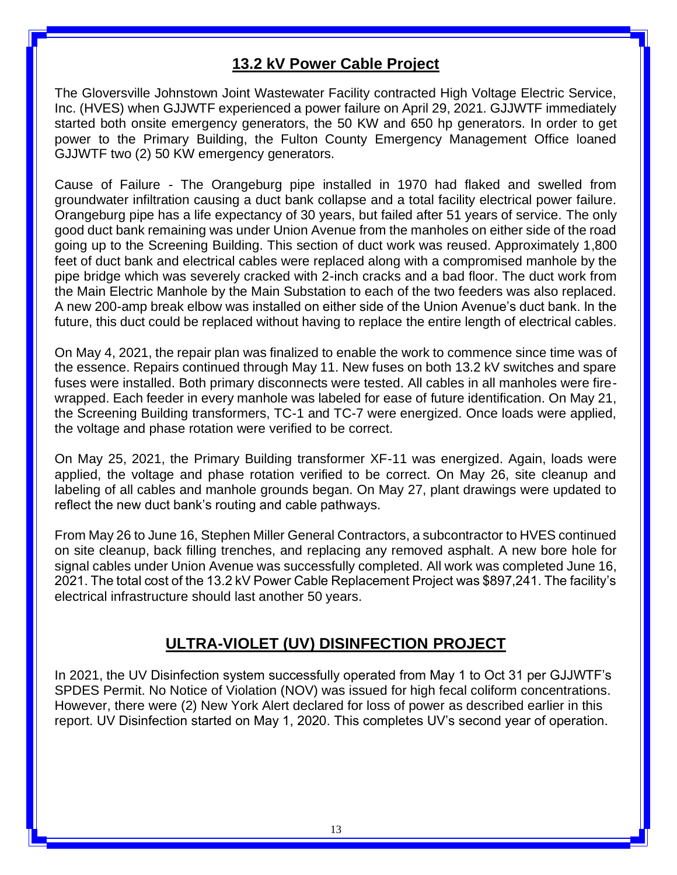## **13.2 kV Power Cable Project**

The Gloversville Johnstown Joint Wastewater Facility contracted High Voltage Electric Service, Inc. (HVES) when GJJWTF experienced a power failure on April 29, 2021. GJJWTF immediately started both onsite emergency generators, the 50 KW and 650 hp generators. In order to get power to the Primary Building, the Fulton County Emergency Management Office loaned GJJWTF two (2) 50 KW emergency generators.

Cause of Failure - The Orangeburg pipe installed in 1970 had flaked and swelled from groundwater infiltration causing a duct bank collapse and a total facility electrical power failure. Orangeburg pipe has a life expectancy of 30 years, but failed after 51 years of service. The only good duct bank remaining was under Union Avenue from the manholes on either side of the road going up to the Screening Building. This section of duct work was reused. Approximately 1,800 feet of duct bank and electrical cables were replaced along with a compromised manhole by the pipe bridge which was severely cracked with 2-inch cracks and a bad floor. The duct work from the Main Electric Manhole by the Main Substation to each of the two feeders was also replaced. A new 200-amp break elbow was installed on either side of the Union Avenue's duct bank. In the future, this duct could be replaced without having to replace the entire length of electrical cables.

On May 4, 2021, the repair plan was finalized to enable the work to commence since time was of the essence. Repairs continued through May 11. New fuses on both 13.2 kV switches and spare fuses were installed. Both primary disconnects were tested. All cables in all manholes were firewrapped. Each feeder in every manhole was labeled for ease of future identification. On May 21, the Screening Building transformers, TC-1 and TC-7 were energized. Once loads were applied, the voltage and phase rotation were verified to be correct.

On May 25, 2021, the Primary Building transformer XF-11 was energized. Again, loads were applied, the voltage and phase rotation verified to be correct. On May 26, site cleanup and labeling of all cables and manhole grounds began. On May 27, plant drawings were updated to reflect the new duct bank's routing and cable pathways.

From May 26 to June 16, Stephen Miller General Contractors, a subcontractor to HVES continued on site cleanup, back filling trenches, and replacing any removed asphalt. A new bore hole for signal cables under Union Avenue was successfully completed. All work was completed June 16, 2021. The total cost of the 13.2 kV Power Cable Replacement Project was \$897,241. The facility's electrical infrastructure should last another 50 years.

## **ULTRA-VIOLET (UV) DISINFECTION PROJECT**

In 2021, the UV Disinfection system successfully operated from May 1 to Oct 31 per GJJWTF's SPDES Permit. No Notice of Violation (NOV) was issued for high fecal coliform concentrations. However, there were (2) New York Alert declared for loss of power as described earlier in this report. UV Disinfection started on May 1, 2020. This completes UV's second year of operation.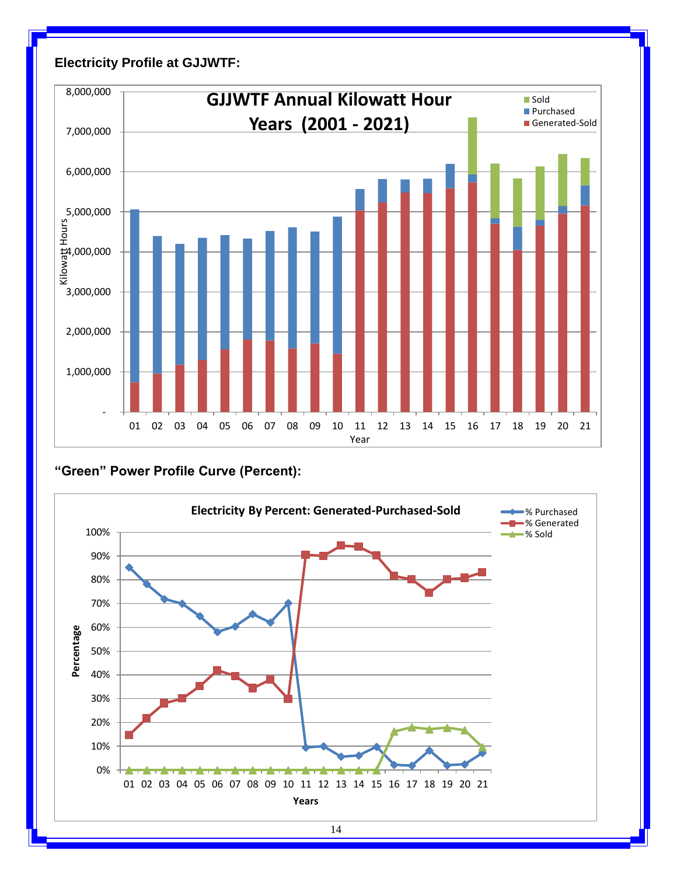

#### **Electricity Profile at GJJWTF:**

**"Green" Power Profile Curve (Percent):**

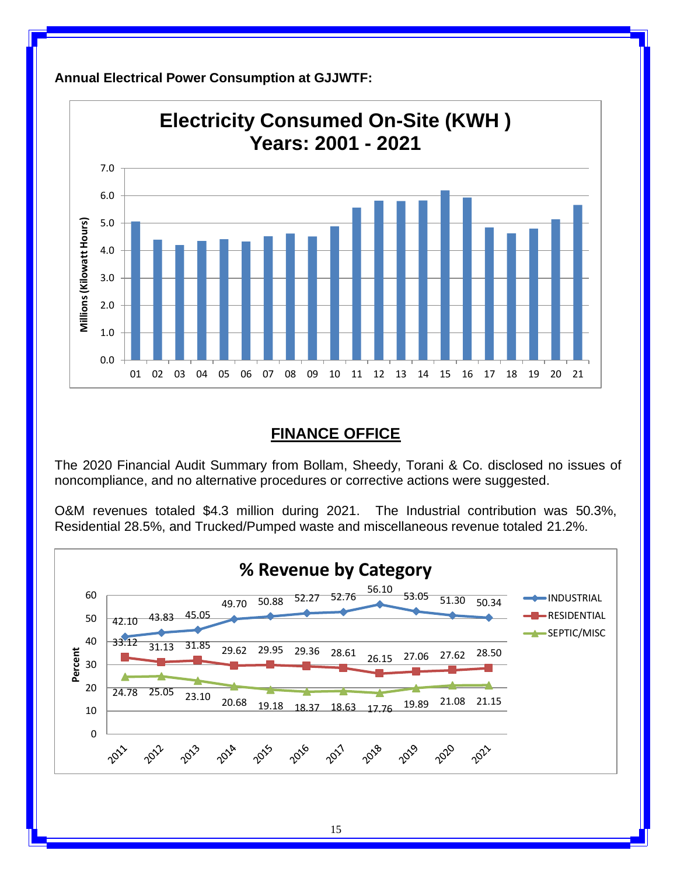

**Annual Electrical Power Consumption at GJJWTF:**

## **FINANCE OFFICE**

The 2020 Financial Audit Summary from Bollam, Sheedy, Torani & Co. disclosed no issues of noncompliance, and no alternative procedures or corrective actions were suggested.

O&M revenues totaled \$4.3 million during 2021. The Industrial contribution was 50.3%, Residential 28.5%, and Trucked/Pumped waste and miscellaneous revenue totaled 21.2%.

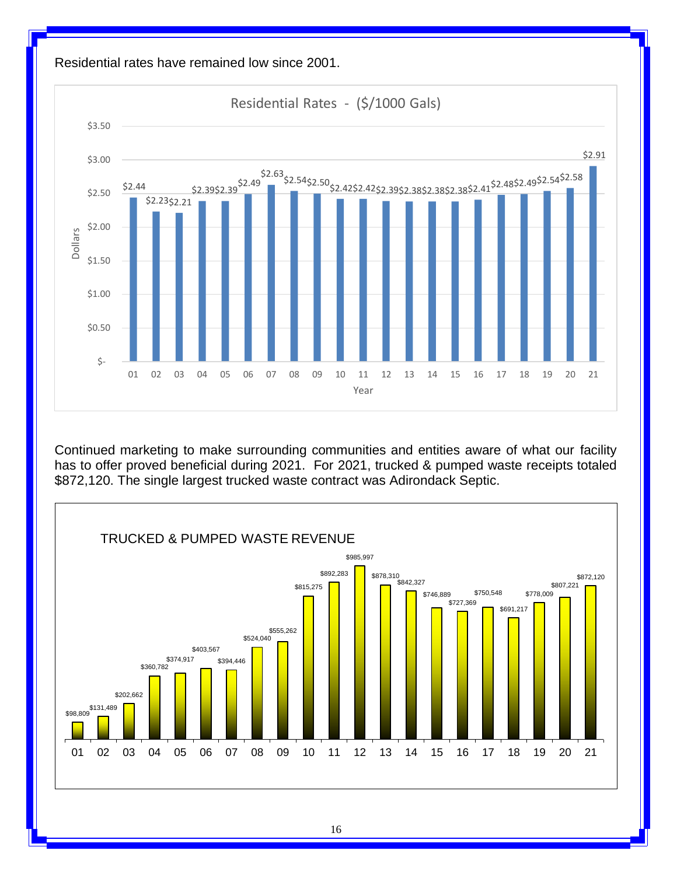

Continued marketing to make surrounding communities and entities aware of what our facility has to offer proved beneficial during 2021. For 2021, trucked & pumped waste receipts totaled \$872,120. The single largest trucked waste contract was Adirondack Septic.



16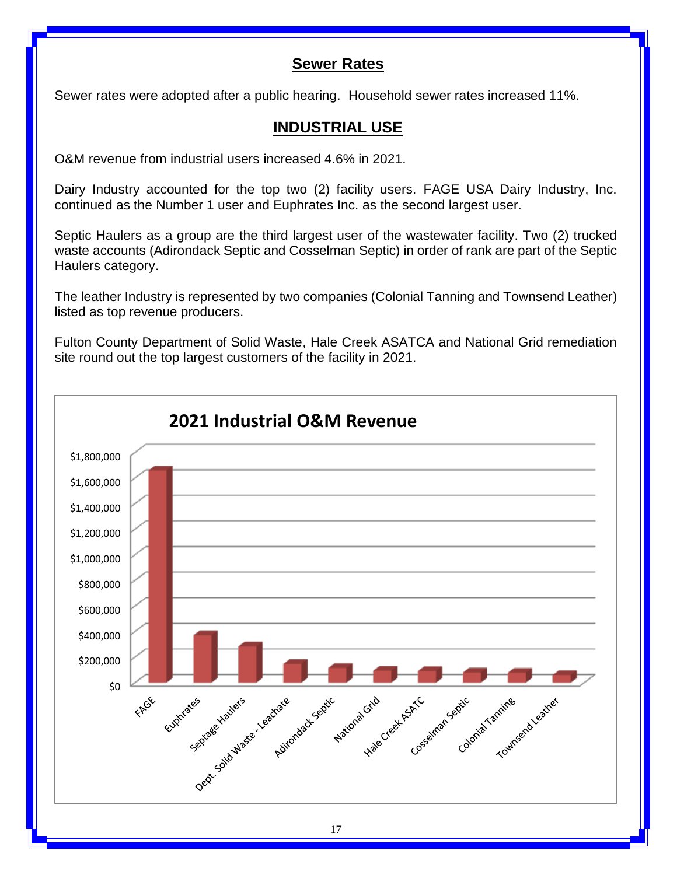#### **Sewer Rates**

Sewer rates were adopted after a public hearing. Household sewer rates increased 11%.

## **INDUSTRIAL USE**

O&M revenue from industrial users increased 4.6% in 2021.

Dairy Industry accounted for the top two (2) facility users. FAGE USA Dairy Industry, Inc. continued as the Number 1 user and Euphrates Inc. as the second largest user.

Septic Haulers as a group are the third largest user of the wastewater facility. Two (2) trucked waste accounts (Adirondack Septic and Cosselman Septic) in order of rank are part of the Septic Haulers category.

The leather Industry is represented by two companies (Colonial Tanning and Townsend Leather) listed as top revenue producers.

Fulton County Department of Solid Waste, Hale Creek ASATCA and National Grid remediation site round out the top largest customers of the facility in 2021.

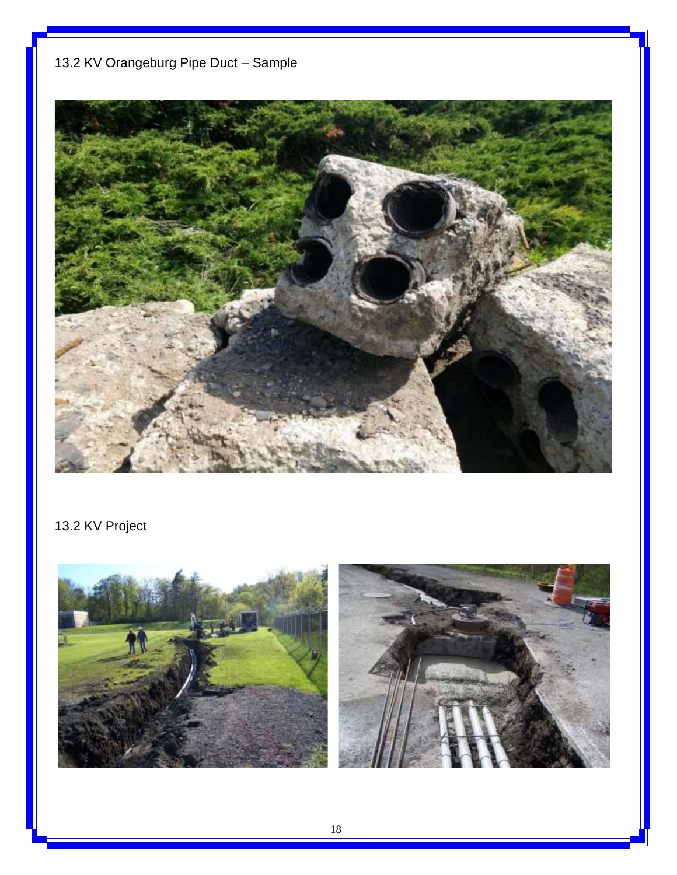# 13.2 KV Orangeburg Pipe Duct – Sample



# 13.2 KV Project